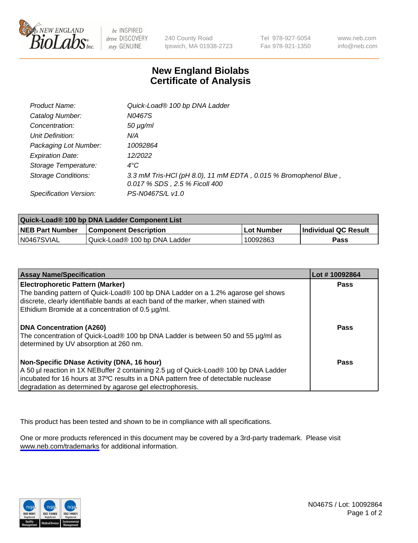

be INSPIRED drive DISCOVERY stay GENUINE

240 County Road Ipswich, MA 01938-2723 Tel 978-927-5054 Fax 978-921-1350

www.neb.com info@neb.com

## **New England Biolabs Certificate of Analysis**

| Product Name:              | Quick-Load® 100 bp DNA Ladder                                                                    |
|----------------------------|--------------------------------------------------------------------------------------------------|
| Catalog Number:            | N0467S                                                                                           |
| Concentration:             | $50 \mu g/ml$                                                                                    |
| Unit Definition:           | N/A                                                                                              |
| Packaging Lot Number:      | 10092864                                                                                         |
| <b>Expiration Date:</b>    | 12/2022                                                                                          |
| Storage Temperature:       | $4^{\circ}$ C                                                                                    |
| <b>Storage Conditions:</b> | 3.3 mM Tris-HCl (pH 8.0), 11 mM EDTA, 0.015 % Bromophenol Blue,<br>0.017 % SDS, 2.5 % Ficoll 400 |
| Specification Version:     | PS-N0467S/L v1.0                                                                                 |

| Quick-Load® 100 bp DNA Ladder Component List |                               |            |                             |  |
|----------------------------------------------|-------------------------------|------------|-----------------------------|--|
| <b>NEB Part Number</b>                       | <b>Component Description</b>  | Lot Number | <b>Individual QC Result</b> |  |
| N0467SVIAL                                   | Quick-Load® 100 bp DNA Ladder | 10092863   | <b>Pass</b>                 |  |

| <b>Assay Name/Specification</b>                                                                                                                                                                                                                                                          | Lot #10092864 |
|------------------------------------------------------------------------------------------------------------------------------------------------------------------------------------------------------------------------------------------------------------------------------------------|---------------|
| <b>Electrophoretic Pattern (Marker)</b><br>The banding pattern of Quick-Load® 100 bp DNA Ladder on a 1.2% agarose gel shows<br>discrete, clearly identifiable bands at each band of the marker, when stained with<br>Ethidium Bromide at a concentration of 0.5 µg/ml.                   | <b>Pass</b>   |
| DNA Concentration (A260)<br>The concentration of Quick-Load® 100 bp DNA Ladder is between 50 and 55 µg/ml as<br>determined by UV absorption at 260 nm.                                                                                                                                   | <b>Pass</b>   |
| Non-Specific DNase Activity (DNA, 16 hour)<br>  A 50 µl reaction in 1X NEBuffer 2 containing 2.5 µg of Quick-Load® 100 bp DNA Ladder<br>incubated for 16 hours at 37°C results in a DNA pattern free of detectable nuclease<br>degradation as determined by agarose gel electrophoresis. | Pass          |

This product has been tested and shown to be in compliance with all specifications.

One or more products referenced in this document may be covered by a 3rd-party trademark. Please visit <www.neb.com/trademarks>for additional information.